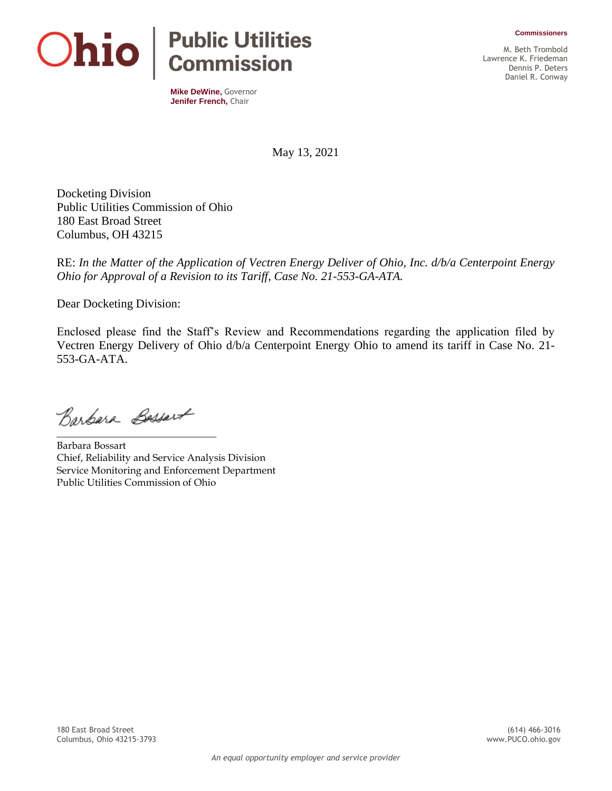**Commissioners**



**Mike DeWine,** Governor **Jenifer French,** Chair

M. Beth Trombold Lawrence K. Friedeman Dennis P. Deters Daniel R. Conway

May 13, 2021

Docketing Division Public Utilities Commission of Ohio 180 East Broad Street Columbus, OH 43215

RE: *In the Matter of the Application of Vectren Energy Deliver of Ohio, Inc. d/b/a Centerpoint Energy Ohio for Approval of a Revision to its Tariff, Case No. 21-553-GA-ATA.*

Dear Docketing Division:

Enclosed please find the Staff's Review and Recommendations regarding the application filed by Vectren Energy Delivery of Ohio d/b/a Centerpoint Energy Ohio to amend its tariff in Case No. 21- 553-GA-ATA.

Barbara Bassart

\_\_\_\_\_\_\_\_\_\_\_\_\_\_\_\_\_\_\_\_\_\_\_\_\_\_\_\_\_\_\_\_

Barbara Bossart Chief, Reliability and Service Analysis Division Service Monitoring and Enforcement Department Public Utilities Commission of Ohio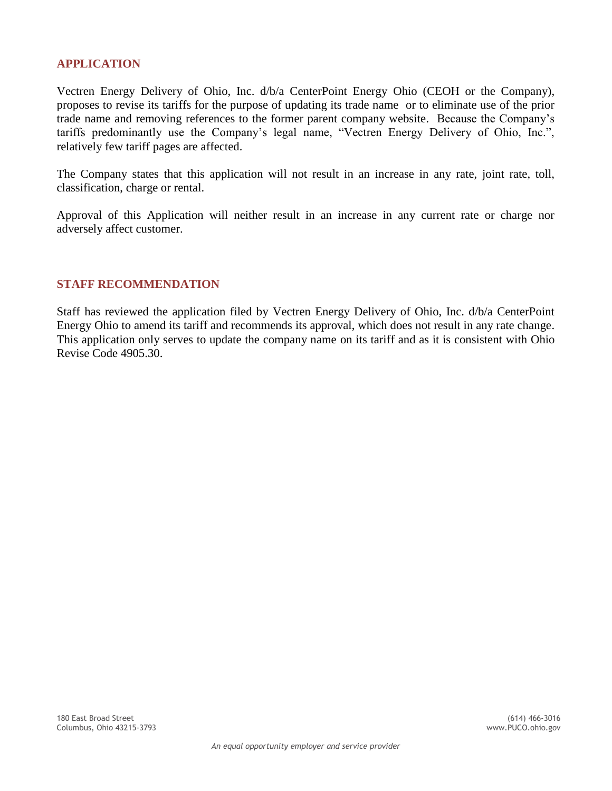## **APPLICATION**

Vectren Energy Delivery of Ohio, Inc. d/b/a CenterPoint Energy Ohio (CEOH or the Company), proposes to revise its tariffs for the purpose of updating its trade name or to eliminate use of the prior trade name and removing references to the former parent company website. Because the Company's tariffs predominantly use the Company's legal name, "Vectren Energy Delivery of Ohio, Inc.", relatively few tariff pages are affected.

The Company states that this application will not result in an increase in any rate, joint rate, toll, classification, charge or rental.

Approval of this Application will neither result in an increase in any current rate or charge nor adversely affect customer.

## **STAFF RECOMMENDATION**

Staff has reviewed the application filed by Vectren Energy Delivery of Ohio, Inc. d/b/a CenterPoint Energy Ohio to amend its tariff and recommends its approval, which does not result in any rate change. This application only serves to update the company name on its tariff and as it is consistent with Ohio Revise Code 4905.30.